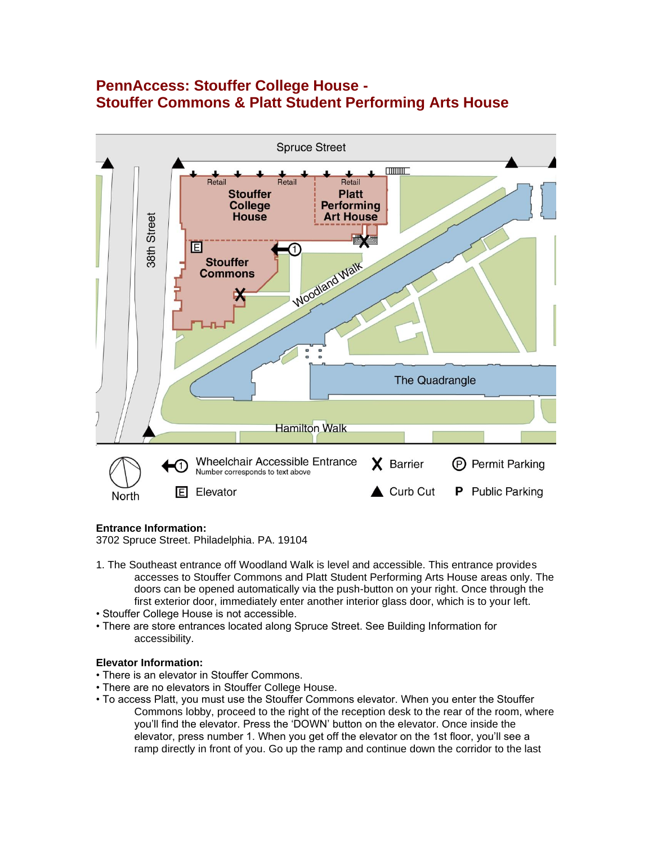# **PennAccess: Stouffer College House - Stouffer Commons & Platt Student Performing Arts House**



## **Entrance Information:**

3702 Spruce Street. Philadelphia. PA. 19104

- 1. The Southeast entrance off Woodland Walk is level and accessible. This entrance provides accesses to Stouffer Commons and Platt Student Performing Arts House areas only. The doors can be opened automatically via the push-button on your right. Once through the first exterior door, immediately enter another interior glass door, which is to your left.
- Stouffer College House is not accessible.
- There are store entrances located along Spruce Street. See Building Information for accessibility.

### **Elevator Information:**

- There is an elevator in Stouffer Commons.
- There are no elevators in Stouffer College House.
- To access Platt, you must use the Stouffer Commons elevator. When you enter the Stouffer Commons lobby, proceed to the right of the reception desk to the rear of the room, where you'll find the elevator. Press the 'DOWN' button on the elevator. Once inside the elevator, press number 1. When you get off the elevator on the 1st floor, you'll see a ramp directly in front of you. Go up the ramp and continue down the corridor to the last